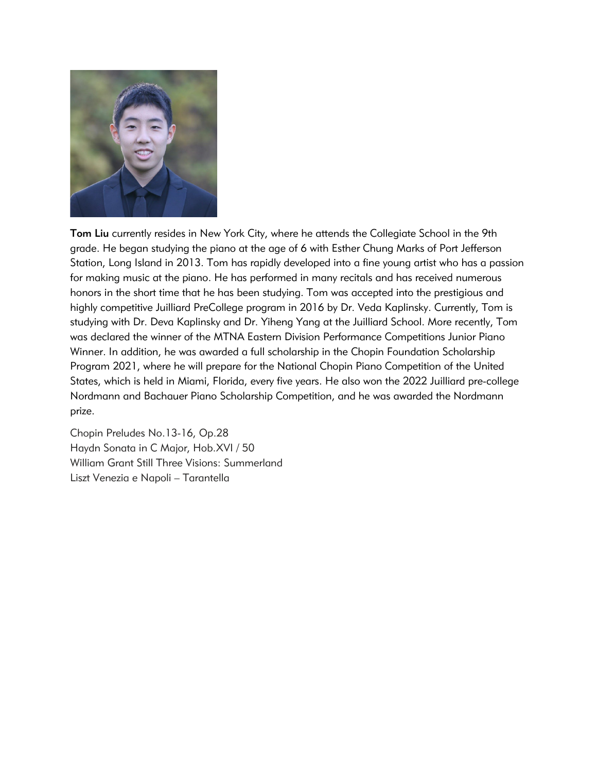

Tom Liu currently resides in New York City, where he attends the Collegiate School in the 9th grade. He began studying the piano at the age of 6 with Esther Chung Marks of Port Jefferson Station, Long Island in 2013. Tom has rapidly developed into a fine young artist who has a passion for making music at the piano. He has performed in many recitals and has received numerous honors in the short time that he has been studying. Tom was accepted into the prestigious and highly competitive Juilliard PreCollege program in 2016 by Dr. Veda Kaplinsky. Currently, Tom is studying with Dr. Deva Kaplinsky and Dr. Yiheng Yang at the Juilliard School. More recently, Tom was declared the winner of the MTNA Eastern Division Performance Competitions Junior Piano Winner. In addition, he was awarded a full scholarship in the Chopin Foundation Scholarship Program 2021, where he will prepare for the National Chopin Piano Competition of the United States, which is held in Miami, Florida, every five years. He also won the 2022 Juilliard pre-college Nordmann and Bachauer Piano Scholarship Competition, and he was awarded the Nordmann prize.

Chopin Preludes No.13-16, Op.28 Haydn Sonata in C Major, Hob.XVI / 50 William Grant Still Three Visions: Summerland Liszt Venezia e Napoli – Tarantella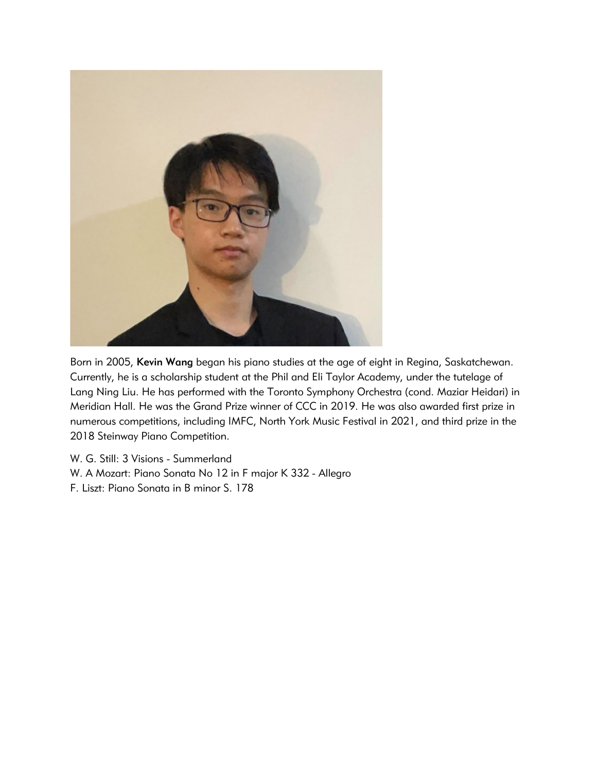

Born in 2005, Kevin Wang began his piano studies at the age of eight in Regina, Saskatchewan. Currently, he is a scholarship student at the Phil and Eli Taylor Academy, under the tutelage of Lang Ning Liu. He has performed with the Toronto Symphony Orchestra (cond. Maziar Heidari) in Meridian Hall. He was the Grand Prize winner of CCC in 2019. He was also awarded first prize in numerous competitions, including IMFC, North York Music Festival in 2021, and third prize in the 2018 Steinway Piano Competition.

W. G. Still: 3 Visions - Summerland W. A Mozart: Piano Sonata No 12 in F major K 332 - Allegro F. Liszt: Piano Sonata in B minor S. 178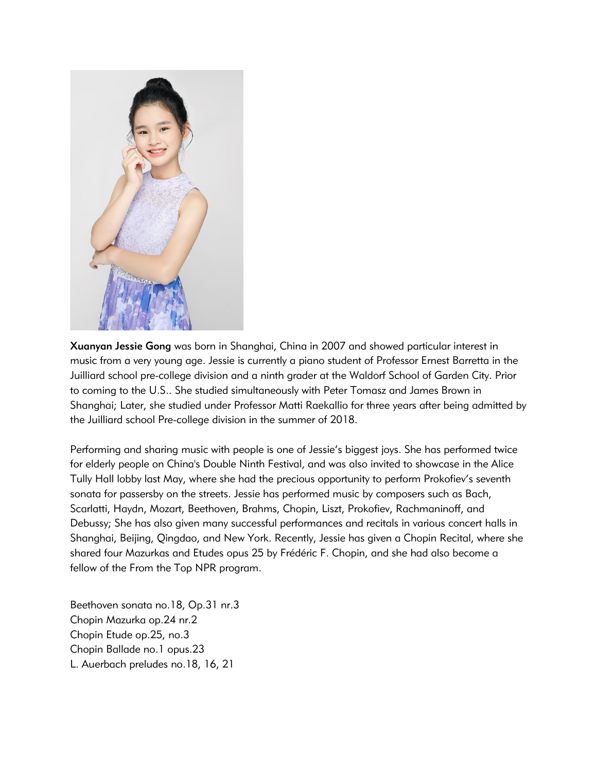

Xuanyan Jessie Gong was born in Shanghai, China in 2007 and showed particular interest in music from a very young age. Jessie is currently a piano student of Professor Ernest Barretta in the Juilliard school pre-college division and a ninth grader at the Waldorf School of Garden City. Prior to coming to the U.S.. She studied simultaneously with Peter Tomasz and James Brown in Shanghai; Later, she studied under Professor Matti Raekallio for three years after being admitted by the Juilliard school Pre-college division in the summer of 2018.

Performing and sharing music with people is one of Jessie's biggest joys. She has performed twice for elderly people on China's Double Ninth Festival, and was also invited to showcase in the Alice Tully Hall lobby last May, where she had the precious opportunity to perform Prokofiev's seventh sonata for passersby on the streets. Jessie has performed music by composers such as Bach, Scarlatti, Haydn, Mozart, Beethoven, Brahms, Chopin, Liszt, Prokofiev, Rachmaninoff, and Debussy; She has also given many successful performances and recitals in various concert halls in Shanghai, Beijing, Qingdao, and New York. Recently, Jessie has given a Chopin Recital, where she shared four Mazurkas and Etudes opus 25 by Frédéric F. Chopin, and she had also become a fellow of the From the Top NPR program.

Beethoven sonata no.18, Op.31 nr.3 Chopin Mazurka op.24 nr.2 Chopin Etude op.25, no.3 Chopin Ballade no.1 opus.23 L. Auerbach preludes no.18, 16, 21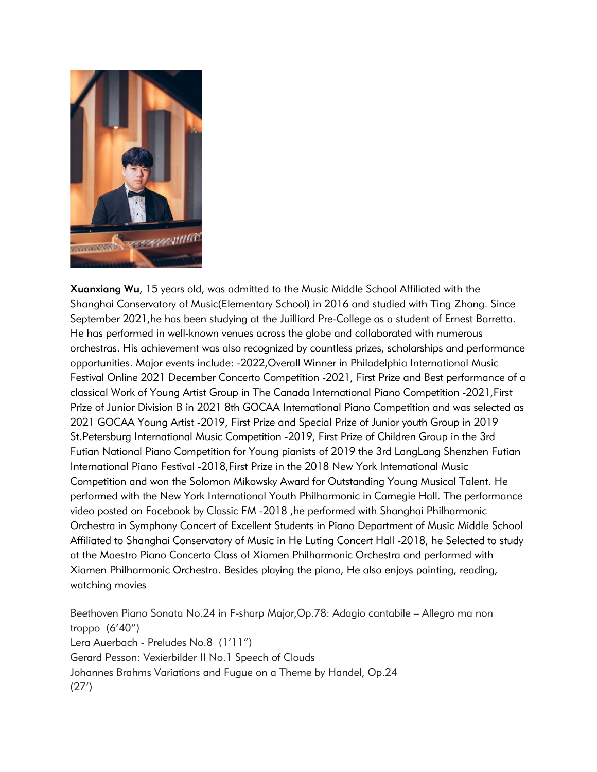

Xuanxiang Wu, 15 years old, was admitted to the Music Middle School Affiliated with the Shanghai Conservatory of Music(Elementary School) in 2016 and studied with Ting Zhong. Since September 2021,he has been studying at the Juilliard Pre-College as a student of Ernest Barretta. He has performed in well-known venues across the globe and collaborated with numerous orchestras. His achievement was also recognized by countless prizes, scholarships and performance opportunities. Major events include: -2022,Overall Winner in Philadelphia International Music Festival Online 2021 December Concerto Competition -2021, First Prize and Best performance of a classical Work of Young Artist Group in The Canada International Piano Competition -2021,First Prize of Junior Division B in 2021 8th GOCAA International Piano Competition and was selected as 2021 GOCAA Young Artist -2019, First Prize and Special Prize of Junior youth Group in 2019 St.Petersburg International Music Competition -2019, First Prize of Children Group in the 3rd Futian National Piano Competition for Young pianists of 2019 the 3rd LangLang Shenzhen Futian International Piano Festival -2018,First Prize in the 2018 New York International Music Competition and won the Solomon Mikowsky Award for Outstanding Young Musical Talent. He performed with the New York International Youth Philharmonic in Carnegie Hall. The performance video posted on Facebook by Classic FM -2018 ,he performed with Shanghai Philharmonic Orchestra in Symphony Concert of Excellent Students in Piano Department of Music Middle School Affiliated to Shanghai Conservatory of Music in He Luting Concert Hall -2018, he Selected to study at the Maestro Piano Concerto Class of Xiamen Philharmonic Orchestra and performed with Xiamen Philharmonic Orchestra. Besides playing the piano, He also enjoys painting, reading, watching movies

Beethoven Piano Sonata No.24 in F-sharp Major,Op.78: Adagio cantabile – Allegro ma non troppo (6'40") Lera Auerbach - Preludes No.8 (1'11") Gerard Pesson: Vexierbilder II No.1 Speech of Clouds Johannes Brahms Variations and Fugue on a Theme by Handel, Op.24 (27')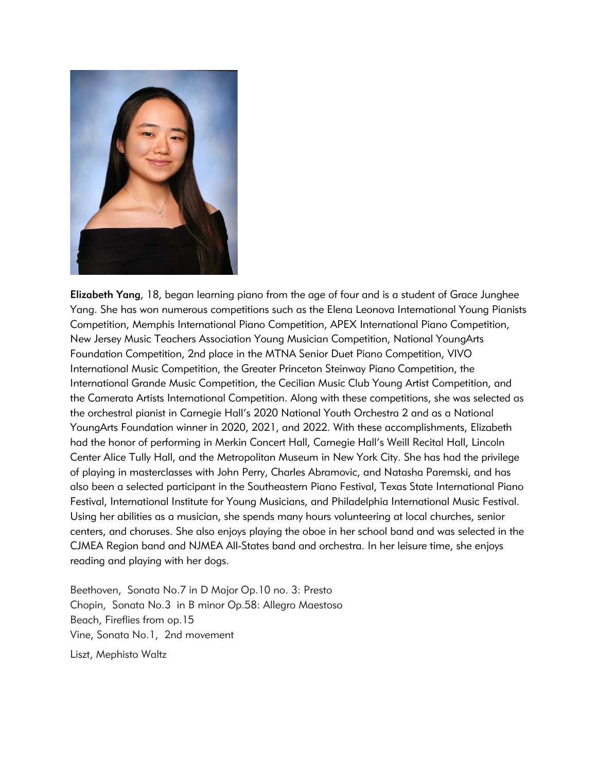

Elizabeth Yang, 18, began learning piano from the age of four and is a student of Grace Junghee Yang. She has won numerous competitions such as the Elena Leonova International Young Pianists Competition, Memphis International Piano Competition, APEX International Piano Competition, New Jersey Music Teachers Association Young Musician Competition, National YoungArts Foundation Competition, 2nd place in the MTNA Senior Duet Piano Competition, VIVO International Music Competition, the Greater Princeton Steinway Piano Competition, the International Grande Music Competition, the Cecilian Music Club Young Artist Competition, and the Camerata Artists International Competition. Along with these competitions, she was selected as the orchestral pianist in Carnegie Hall's 2020 National Youth Orchestra 2 and as a National YoungArts Foundation winner in 2020, 2021, and 2022. With these accomplishments, Elizabeth had the honor of performing in Merkin Concert Hall, Carnegie Hall's Weill Recital Hall, Lincoln Center Alice Tully Hall, and the Metropolitan Museum in New York City. She has had the privilege of playing in masterclasses with John Perry, Charles Abramovic, and Natasha Paremski, and has also been a selected participant in the Southeastern Piano Festival, Texas State International Piano Festival, International Institute for Young Musicians, and Philadelphia International Music Festival. Using her abilities as a musician, she spends many hours volunteering at local churches, senior centers, and choruses. She also enjoys playing the oboe in her school band and was selected in the CJMEA Region band and NJMEA All-States band and orchestra. In her leisure time, she enjoys reading and playing with her dogs.

Beethoven, Sonata No.7 in D Major Op.10 no. 3: Presto Chopin, Sonata No.3 in B minor Op.58: Allegro Maestoso Beach, Fireflies from op.15 Vine, Sonata No.1, 2nd movement Liszt, Mephisto Waltz